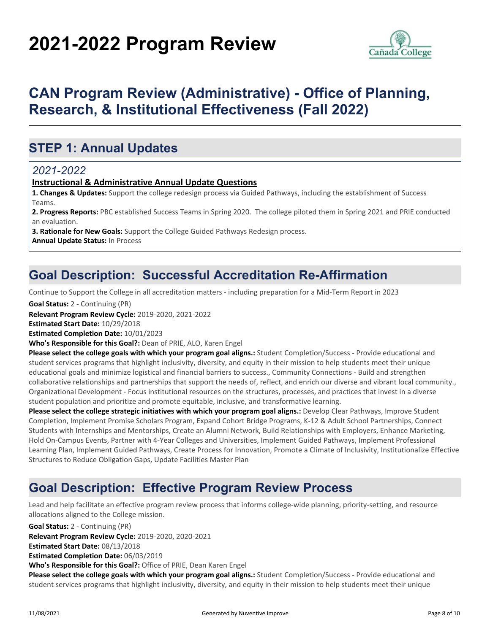# **2021-2022 Program Review**



# **CAN Program Review (Administrative) - Office of Planning, Research, & Institutional Effectiveness (Fall 2022)**

## **STEP 1: Annual Updates**

#### *2021-2022*

#### **Instructional & Administrative Annual Update Questions**

**1. Changes & Updates:** Support the college redesign process via Guided Pathways, including the establishment of Success Teams.

**2. Progress Reports:** PBC established Success Teams in Spring 2020. The college piloted them in Spring 2021 and PRIE conducted an evaluation.

**3. Rationale for New Goals:** Support the College Guided Pathways Redesign process. **Annual Update Status:** In Process

### **Goal Description: Successful Accreditation Re-Affirmation**

Continue to Support the College in all accreditation matters - including preparation for a Mid-Term Report in 2023

**Goal Status:** 2 - Continuing (PR)

**Relevant Program Review Cycle:** 2019-2020, 2021-2022

**Estimated Start Date:** 10/29/2018

**Estimated Completion Date:** 10/01/2023

**Who's Responsible for this Goal?:** Dean of PRIE, ALO, Karen Engel

**Please select the college goals with which your program goal aligns.:** Student Completion/Success - Provide educational and student services programs that highlight inclusivity, diversity, and equity in their mission to help students meet their unique educational goals and minimize logistical and financial barriers to success., Community Connections - Build and strengthen collaborative relationships and partnerships that support the needs of, reflect, and enrich our diverse and vibrant local community., Organizational Development - Focus institutional resources on the structures, processes, and practices that invest in a diverse student population and prioritize and promote equitable, inclusive, and transformative learning.

**Please select the college strategic initiatives with which your program goal aligns.:** Develop Clear Pathways, Improve Student Completion, Implement Promise Scholars Program, Expand Cohort Bridge Programs, K-12 & Adult School Partnerships, Connect Students with Internships and Mentorships, Create an Alumni Network, Build Relationships with Employers, Enhance Marketing, Hold On-Campus Events, Partner with 4-Year Colleges and Universities, Implement Guided Pathways, Implement Professional Learning Plan, Implement Guided Pathways, Create Process for Innovation, Promote a Climate of Inclusivity, Institutionalize Effective Structures to Reduce Obligation Gaps, Update Facilities Master Plan

### **Goal Description: Effective Program Review Process**

Lead and help facilitate an effective program review process that informs college-wide planning, priority-setting, and resource allocations aligned to the College mission.

**Goal Status:** 2 - Continuing (PR)

**Relevant Program Review Cycle:** 2019-2020, 2020-2021

**Estimated Start Date:** 08/13/2018

**Estimated Completion Date:** 06/03/2019

**Who's Responsible for this Goal?:** Office of PRIE, Dean Karen Engel

**Please select the college goals with which your program goal aligns.:** Student Completion/Success - Provide educational and student services programs that highlight inclusivity, diversity, and equity in their mission to help students meet their unique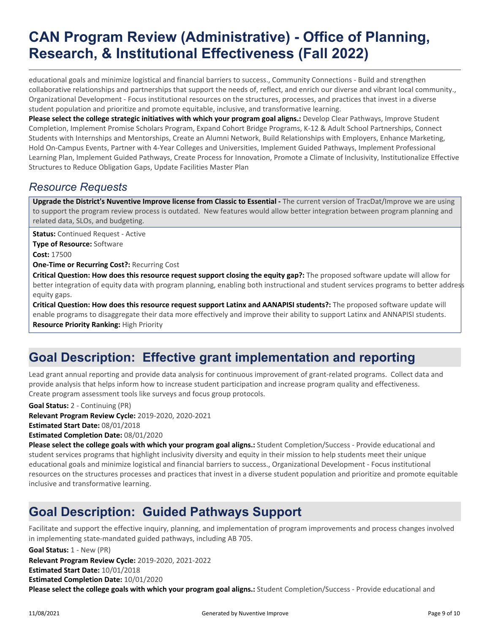# **CAN Program Review (Administrative) - Office of Planning, Research, & Institutional Effectiveness (Fall 2022)**

educational goals and minimize logistical and financial barriers to success., Community Connections - Build and strengthen collaborative relationships and partnerships that support the needs of, reflect, and enrich our diverse and vibrant local community., Organizational Development - Focus institutional resources on the structures, processes, and practices that invest in a diverse student population and prioritize and promote equitable, inclusive, and transformative learning.

Please select the college strategic initiatives with which your program goal aligns.: Develop Clear Pathways, Improve Student Completion, Implement Promise Scholars Program, Expand Cohort Bridge Programs, K-12 & Adult School Partnerships, Connect Students with Internships and Mentorships, Create an Alumni Network, Build Relationships with Employers, Enhance Marketing, Hold On-Campus Events, Partner with 4-Year Colleges and Universities, Implement Guided Pathways, Implement Professional Learning Plan, Implement Guided Pathways, Create Process for Innovation, Promote a Climate of Inclusivity, Institutionalize Effective Structures to Reduce Obligation Gaps, Update Facilities Master Plan

### *Resource Requests*

**Upgrade the District's Nuventive Improve license from Classic to Essential -** The current version of TracDat/Improve we are using to support the program review process is outdated. New features would allow better integration between program planning and related data, SLOs, and budgeting.

**Status:** Continued Request - Active

**Type of Resource:** Software

**Cost:** 17500

**One-Time or Recurring Cost?:** Recurring Cost

**Critical Question: How does this resource request support closing the equity gap?:** The proposed software update will allow for better integration of equity data with program planning, enabling both instructional and student services programs to better address equity gaps.

**Critical Question: How does this resource request support Latinx and AANAPISI students?:** The proposed software update will enable programs to disaggregate their data more effectively and improve their ability to support Latinx and ANNAPISI students. **Resource Priority Ranking:** High Priority

### **Goal Description: Effective grant implementation and reporting**

Lead grant annual reporting and provide data analysis for continuous improvement of grant-related programs. Collect data and provide analysis that helps inform how to increase student participation and increase program quality and effectiveness. Create program assessment tools like surveys and focus group protocols.

**Goal Status:** 2 - Continuing (PR)

**Relevant Program Review Cycle:** 2019-2020, 2020-2021

**Estimated Start Date:** 08/01/2018

**Estimated Completion Date:** 08/01/2020

**Please select the college goals with which your program goal aligns.:** Student Completion/Success - Provide educational and student services programs that highlight inclusivity diversity and equity in their mission to help students meet their unique educational goals and minimize logistical and financial barriers to success., Organizational Development - Focus institutional resources on the structures processes and practices that invest in a diverse student population and prioritize and promote equitable inclusive and transformative learning.

# **Goal Description: Guided Pathways Support**

Facilitate and support the effective inquiry, planning, and implementation of program improvements and process changes involved in implementing state-mandated guided pathways, including AB 705.

**Please select the college goals with which your program goal aligns.:** Student Completion/Success - Provide educational and **Relevant Program Review Cycle:** 2019-2020, 2021-2022 **Estimated Start Date:** 10/01/2018 **Estimated Completion Date:** 10/01/2020 **Goal Status:** 1 - New (PR)